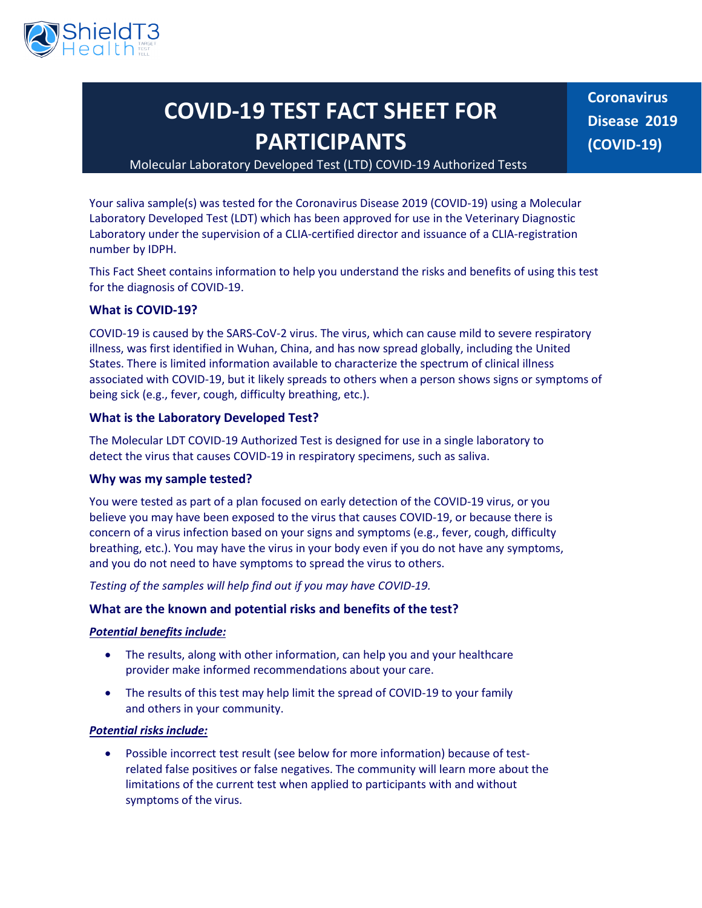

# **COVID-19 TEST FACT SHEET FOR PARTICIPANTS**

**Coronavirus Disease 2019 (COVID-19)**

## Molecular Laboratory Developed Test (LTD) COVID-19 Authorized Tests

Your saliva sample(s) was tested for the Coronavirus Disease 2019 (COVID-19) using a Molecular Laboratory Developed Test (LDT) which has been approved for use in the Veterinary Diagnostic Laboratory under the supervision of a CLIA-certified director and issuance of a CLIA-registration number by IDPH.

This Fact Sheet contains information to help you understand the risks and benefits of using this test for the diagnosis of COVID-19.

## **What is COVID-19?**

COVID-19 is caused by the SARS-CoV-2 virus. The virus, which can cause mild to severe respiratory illness, was first identified in Wuhan, China, and has now spread globally, including the United States. There is limited information available to characterize the spectrum of clinical illness associated with COVID-19, but it likely spreads to others when a person shows signs or symptoms of being sick (e.g., fever, cough, difficulty breathing, etc.).

#### **What is the Laboratory Developed Test?**

The Molecular LDT COVID-19 Authorized Test is designed for use in a single laboratory to detect the virus that causes COVID-19 in respiratory specimens, such as saliva.

#### **Why was my sample tested?**

You were tested as part of a plan focused on early detection of the COVID-19 virus, or you believe you may have been exposed to the virus that causes COVID-19, or because there is concern of a virus infection based on your signs and symptoms (e.g., fever, cough, difficulty breathing, etc.). You may have the virus in your body even if you do not have any symptoms, and you do not need to have symptoms to spread the virus to others.

*Testing of the samples will help find out if you may have COVID-19.*

## **What are the known and potential risks and benefits of the test?**

#### *Potential benefits include:*

- The results, along with other information, can help you and your healthcare provider make informed recommendations about your care.
- The results of this test may help limit the spread of COVID-19 to your family and others in your community.

### *Potential risks include:*

• Possible incorrect test result (see below for more information) because of testrelated false positives or false negatives. The community will learn more about the limitations of the current test when applied to participants with and without symptoms of the virus.